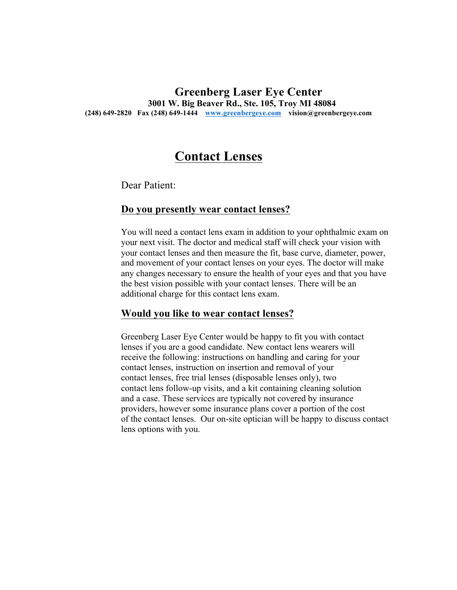### **Greenberg Laser Eye Center 3001 W. Big Beaver Rd., Ste. 105, Troy MI 48084 (248) 649-2820 Fax (248) 649-1444 www.greenbergeye.com vision@greenbergeye.com**

# **Contact Lenses**

Dear Patient:

#### **Do you presently wear contact lenses?**

You will need a contact lens exam in addition to your ophthalmic exam on your next visit. The doctor and medical staff will check your vision with your contact lenses and then measure the fit, base curve, diameter, power, and movement of your contact lenses on your eyes. The doctor will make any changes necessary to ensure the health of your eyes and that you have the best vision possible with your contact lenses. There will be an additional charge for this contact lens exam.

#### **Would you like to wear contact lenses?**

Greenberg Laser Eye Center would be happy to fit you with contact lenses if you are a good candidate. New contact lens wearers will receive the following: instructions on handling and caring for your contact lenses, instruction on insertion and removal of your contact lenses, free trial lenses (disposable lenses only), two contact lens follow-up visits, and a kit containing cleaning solution and a case. These services are typically not covered by insurance providers, however some insurance plans cover a portion of the cost of the contact lenses. Our on-site optician will be happy to discuss contact lens options with you.